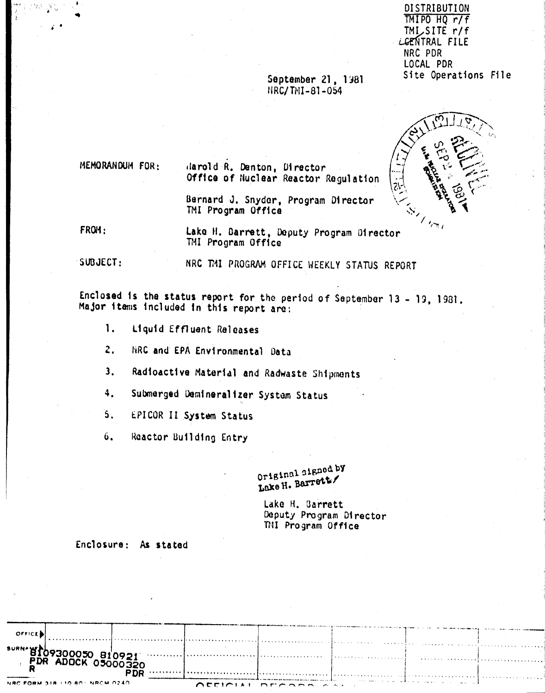DISTRIBUTION TMIPO HQ r/f TMISSITE r/f LGENTRAL FILE NRC PDR LOCAL PDR Site Operations File

## September 21, 1981 NRC/TMI-81-054



MEMORANDUM FOR:

Harold R. Denton, Director Office of Nuclear Reactor Regulation

Bernard J. Snyder, Program Director TMI Program Office

FROM:

Lake H. Darrett, Deputy Program Director TMI Program Office

SUBJECT:

NRC TMI PROGRAM OFFICE WEEKLY STATUS REPORT

Enclosed is the status report for the period of September 13 - 19, 1981. Major items included in this report are:

- 1. Liquid Effluent Releases
- $\overline{2}$ . HRC and EPA Environmental Data
- Radioactive Material and Radwaste Shipments  $3.$
- Submerged Demineralizer System Status  $4.$
- EPICOR II System Status  $\mathbf{5}$ .
- ΰ. Reactor Building Entry

Original signed by Lake H. Barrett

Lake H. Barrett Deputy Program Director TMI Program Office

### Enclosure: As stated

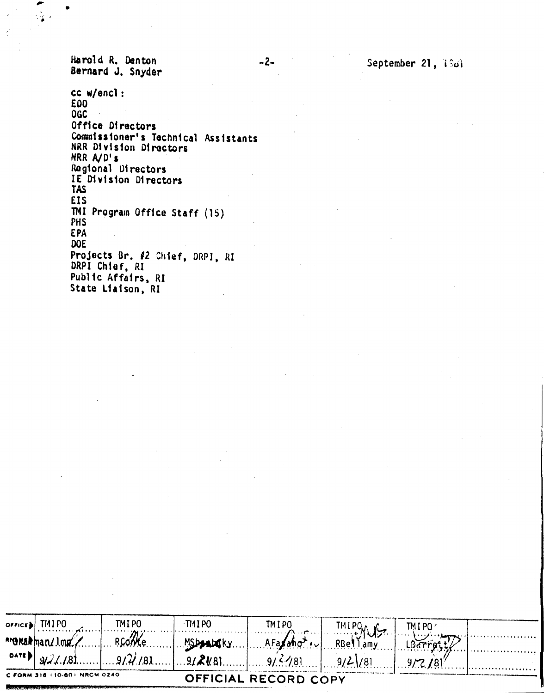Harold R. Denton Bernard J. Snyder

cc w/encl: **EDO OGC** Office Directors Commissioner's Technical Assistants NRR Division Directors NRR A/D's Regional Directors IE Division Directors **TAS EIS** TMI Program Office Staff (15) **PHS EPA DOE** Projects Br. #2 Chief, DRPI, RI DRPI Chief, RI Public Affairs, RI State Liaison, RI

|                                                      | $overice$ TMIPO $\sim$ | TMIPO | -TMI PO | TMIPO                                                      | <b>IMIPONUS</b> | TMI PO |  |  |
|------------------------------------------------------|------------------------|-------|---------|------------------------------------------------------------|-----------------|--------|--|--|
|                                                      |                        |       |         | MShandard Reome MShandary AFatano . RBellamy               |                 |        |  |  |
|                                                      |                        |       |         | $ 9/2/181 9/2/181 9/4/181 9/2/181 9/2/181 9/2/181 9/2/181$ |                 |        |  |  |
| C FORM 318 (10-80) NRCM 0240<br>OFFICIAL RECORD COPY |                        |       |         |                                                            |                 |        |  |  |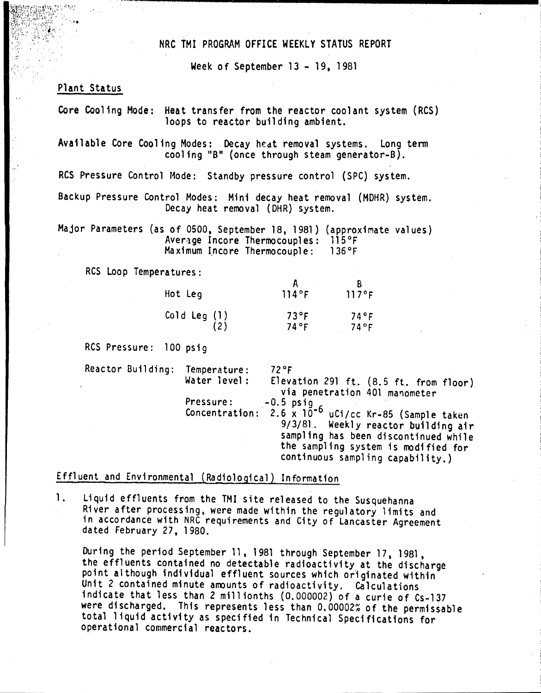## NRC TMI PROGRAM OFFICE WEEKLY STATUS REPORT

Week of September 13 - 19, 1981

## Plant Status

.  $\mathcal{L}_{\mathcal{A}}$ 

 $\ddot{\phantom{1}}$ ", ,  $\mathcal{L} \rightarrow \mathcal{L}$ 

> Core Cooling Mode: Heat transfer from the reactor coolant system (RCS) loops to reactor building ambient.

Available Core Cooling Modes: Decay hedt removal systems. Long term cooling "B" (once through steam generator-B).

RCS Pressure Control Mode: Standby pressure control (SPC) system.

Backup Pressure Control Modes: Mini decay heat removal (MOHR) system. Decay heat removal (DHR) system.

Major Parameters (as of 0500, September 18, 1981) (approximate values) Average Incore Thermocouples: 115°F<br>Maximum Incore Thermocouple: 136°F  $Maximum$  Incore Thermocouple:

RCS Loop Temperatures:

| Hot Leg     | 114°F | 117°F |
|-------------|-------|-------|
| Cold Leg(1) | 73°F  | 74°F  |
| (2)         | 74°F  | 74°F  |

RCS Pressure: 100 psig

Reactor Building: Temperature: 72°F<br>Water level: Eleva Elevation 291 ft.  $(8.5 \text{ ft. from floor})$ via penetration 401 manometer Pressure: ,-0.5 psig Concentration: 2.6 x 10-6 uCi/cc Kr-85 (Sample taken 9/3/81. Weekly reactor building air sampling has been discontinued while the sampling system is modified for continuous sampling capability.)

# Effluent and Environmental (Radiological) Information

1. Liquid effluents from the TMI site released to the Susquehanna River after processing, were made within the regulatory limits and in accordance with NRC requirements and City of lancaster Agreement dated February 27, 1980.

During the period September 11, 1981 through September 17, 1981, the effluents contained no detectable radioactivity at the discharge point although individual effluent sources which originated within Unit 2 contained minute amounts of radioactivity. Calculations indicate that less than 2 millionths (0.000002) of a curie of Cs-137 were discharged. This represents less than 0.00002% of the permissable total liquid activity as specified in Technical Specifications for operational commercial reactors.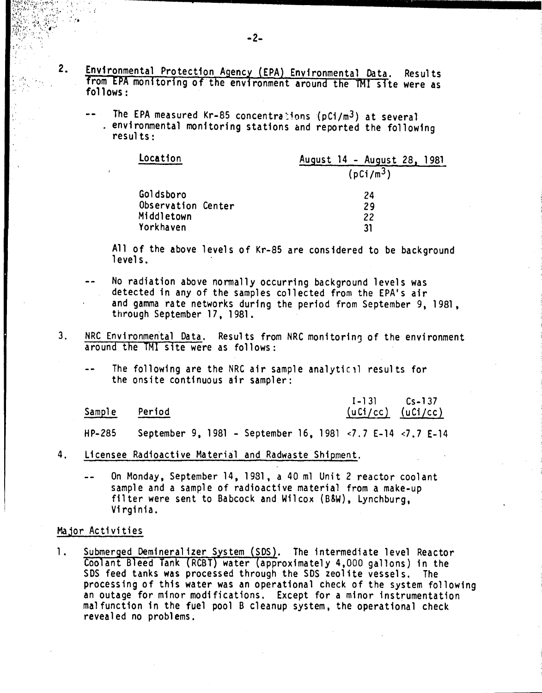- 2. Environmental Protection Agency (EPA) Environmental Data. Results from EPA monitoring of the environment around the TMI site were as  $follows:$ 
	- The EPA measured Kr-85 concentra $\text{10}$ ons (pCi/m<sup>3</sup>) at several environmental monitoring stations and reported the following resu1 ts :

| Location           | August 14 - August 28, 1981 |
|--------------------|-----------------------------|
|                    | (pCi/m <sup>3</sup> )       |
| Goldsboro          | 24                          |
| Observation Center | 29                          |
| Middletown         | 22                          |
| Yorkhaven          | 31                          |

All of the above levels of Kr-85 are considered to be background levels.

- No radiation above normally occurring background levels was detected in any of the samples collected from the EPA's air and gamma rate networks during the period from September 9, 1981, through September 17, 1981.
- 3. NRC Environmental Data. Results from NRC monitoring of the environment around the TMI site were as follows:
	- The following are the NRC air sample analytical results for the onsite continuous air sampler:

| Sample Period |  | $(uCl/cc)$ $(uCl/cc)$ |
|---------------|--|-----------------------|
|               |  |                       |

1-1 31

Cs-137

- September 9,1981 September 16,1981 <7.7 E-14 <7.7 E-14 HP-285
- 4. Licensee Radioactive Material and Radwaste Shipment.
	- On Monday, September 14, 1981, a 40 ml Unit 2 reactor coolant sample and a sample of radioactive material from a make-up filter were sent to Babcock and Wilcox (B&W), Lynchburg, Virginia.

#### Major Activities

. :

1.Submerged Demineralizer System (SDS). The intermediate level Reactor Coolant Bleed Tank (RCBT) water (approximately 4,000 gallons) in the SDS feed tanks was processed through the SDS zeolite vessels. The processing of this water was an operational check of the system following an outage for minor modifications. Except for a minor instrumentation malfunction in the fuel pool B cleanup system, the operational check revealed no problems.